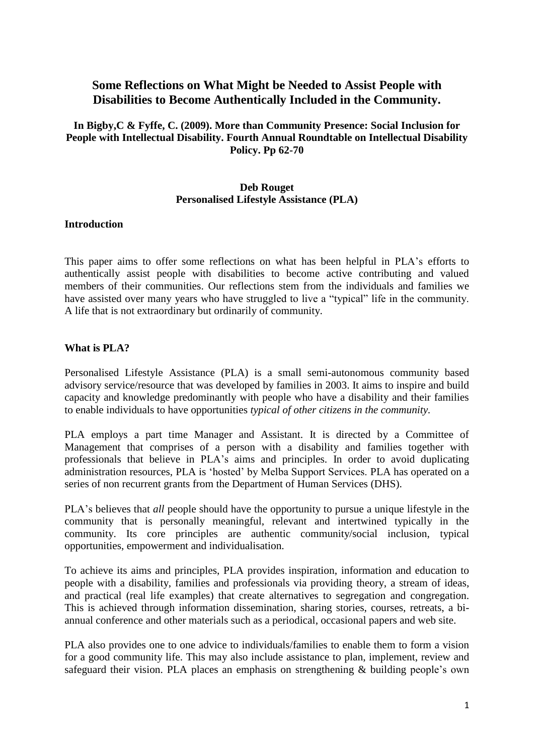**In Bigby,C & Fyffe, C. (2009). More than Community Presence: Social Inclusion for People with Intellectual Disability. Fourth Annual Roundtable on Intellectual Disability Policy. Pp 62-70**

### **Deb Rouget Personalised Lifestyle Assistance (PLA)**

#### **Introduction**

This paper aims to offer some reflections on what has been helpful in PLA's efforts to authentically assist people with disabilities to become active contributing and valued members of their communities. Our reflections stem from the individuals and families we have assisted over many years who have struggled to live a "typical" life in the community. A life that is not extraordinary but ordinarily of community.

### **What is PLA?**

Personalised Lifestyle Assistance (PLA) is a small semi-autonomous community based advisory service/resource that was developed by families in 2003. It aims to inspire and build capacity and knowledge predominantly with people who have a disability and their families to enable individuals to have opportunities *typical of other citizens in the community.*

PLA employs a part time Manager and Assistant. It is directed by a Committee of Management that comprises of a person with a disability and families together with professionals that believe in PLA's aims and principles. In order to avoid duplicating administration resources, PLA is 'hosted' by Melba Support Services. PLA has operated on a series of non recurrent grants from the Department of Human Services (DHS).

PLA's believes that *all* people should have the opportunity to pursue a unique lifestyle in the community that is personally meaningful, relevant and intertwined typically in the community. Its core principles are authentic community/social inclusion, typical opportunities, empowerment and individualisation.

To achieve its aims and principles, PLA provides inspiration, information and education to people with a disability, families and professionals via providing theory, a stream of ideas, and practical (real life examples) that create alternatives to segregation and congregation. This is achieved through information dissemination, sharing stories, courses, retreats, a biannual conference and other materials such as a periodical, occasional papers and web site.

PLA also provides one to one advice to individuals/families to enable them to form a vision for a good community life. This may also include assistance to plan, implement, review and safeguard their vision. PLA places an emphasis on strengthening & building people's own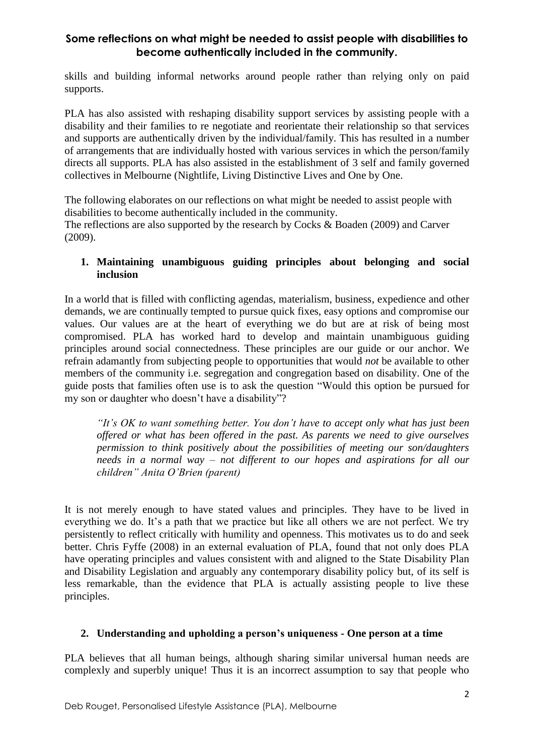skills and building informal networks around people rather than relying only on paid supports.

PLA has also assisted with reshaping disability support services by assisting people with a disability and their families to re negotiate and reorientate their relationship so that services and supports are authentically driven by the individual/family. This has resulted in a number of arrangements that are individually hosted with various services in which the person/family directs all supports. PLA has also assisted in the establishment of 3 self and family governed collectives in Melbourne (Nightlife, Living Distinctive Lives and One by One.

The following elaborates on our reflections on what might be needed to assist people with disabilities to become authentically included in the community.

The reflections are also supported by the research by Cocks & Boaden (2009) and Carver (2009).

### **1. Maintaining unambiguous guiding principles about belonging and social inclusion**

In a world that is filled with conflicting agendas, materialism, business, expedience and other demands, we are continually tempted to pursue quick fixes, easy options and compromise our values. Our values are at the heart of everything we do but are at risk of being most compromised. PLA has worked hard to develop and maintain unambiguous guiding principles around social connectedness. These principles are our guide or our anchor. We refrain adamantly from subjecting people to opportunities that would *not* be available to other members of the community i.e. segregation and congregation based on disability. One of the guide posts that families often use is to ask the question "Would this option be pursued for my son or daughter who doesn't have a disability"?

*"It's OK to want something better. You don't have to accept only what has just been offered or what has been offered in the past. As parents we need to give ourselves permission to think positively about the possibilities of meeting our son/daughters needs in a normal way – not different to our hopes and aspirations for all our children" Anita O'Brien (parent)*

It is not merely enough to have stated values and principles. They have to be lived in everything we do. It's a path that we practice but like all others we are not perfect. We try persistently to reflect critically with humility and openness. This motivates us to do and seek better. Chris Fyffe (2008) in an external evaluation of PLA, found that not only does PLA have operating principles and values consistent with and aligned to the State Disability Plan and Disability Legislation and arguably any contemporary disability policy but, of its self is less remarkable, than the evidence that PLA is actually assisting people to live these principles.

#### **2. Understanding and upholding a person's uniqueness - One person at a time**

PLA believes that all human beings, although sharing similar universal human needs are complexly and superbly unique! Thus it is an incorrect assumption to say that people who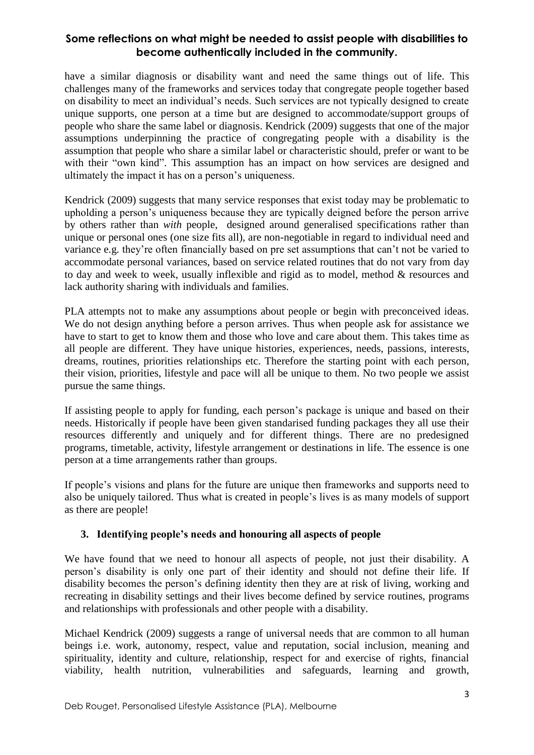have a similar diagnosis or disability want and need the same things out of life. This challenges many of the frameworks and services today that congregate people together based on disability to meet an individual's needs. Such services are not typically designed to create unique supports, one person at a time but are designed to accommodate/support groups of people who share the same label or diagnosis. Kendrick (2009) suggests that one of the major assumptions underpinning the practice of congregating people with a disability is the assumption that people who share a similar label or characteristic should, prefer or want to be with their "own kind". This assumption has an impact on how services are designed and ultimately the impact it has on a person's uniqueness.

Kendrick (2009) suggests that many service responses that exist today may be problematic to upholding a person's uniqueness because they are typically deigned before the person arrive by others rather than *with* people, designed around generalised specifications rather than unique or personal ones (one size fits all), are non-negotiable in regard to individual need and variance e.g. they're often financially based on pre set assumptions that can't not be varied to accommodate personal variances, based on service related routines that do not vary from day to day and week to week, usually inflexible and rigid as to model, method & resources and lack authority sharing with individuals and families.

PLA attempts not to make any assumptions about people or begin with preconceived ideas. We do not design anything before a person arrives. Thus when people ask for assistance we have to start to get to know them and those who love and care about them. This takes time as all people are different. They have unique histories, experiences, needs, passions, interests, dreams, routines, priorities relationships etc. Therefore the starting point with each person, their vision, priorities, lifestyle and pace will all be unique to them. No two people we assist pursue the same things.

If assisting people to apply for funding, each person's package is unique and based on their needs. Historically if people have been given standarised funding packages they all use their resources differently and uniquely and for different things. There are no predesigned programs, timetable, activity, lifestyle arrangement or destinations in life. The essence is one person at a time arrangements rather than groups.

If people's visions and plans for the future are unique then frameworks and supports need to also be uniquely tailored. Thus what is created in people's lives is as many models of support as there are people!

### **3. Identifying people's needs and honouring all aspects of people**

We have found that we need to honour all aspects of people, not just their disability. A person's disability is only one part of their identity and should not define their life. If disability becomes the person's defining identity then they are at risk of living, working and recreating in disability settings and their lives become defined by service routines, programs and relationships with professionals and other people with a disability.

Michael Kendrick (2009) suggests a range of universal needs that are common to all human beings i.e. work, autonomy, respect, value and reputation, social inclusion, meaning and spirituality, identity and culture, relationship, respect for and exercise of rights, financial viability, health nutrition, vulnerabilities and safeguards, learning and growth,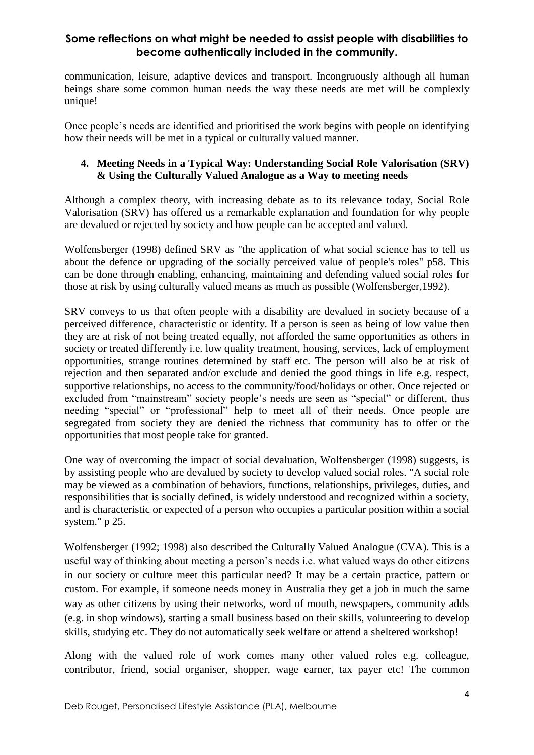communication, leisure, adaptive devices and transport. Incongruously although all human beings share some common human needs the way these needs are met will be complexly unique!

Once people's needs are identified and prioritised the work begins with people on identifying how their needs will be met in a typical or culturally valued manner.

### **4. Meeting Needs in a Typical Way: Understanding Social Role Valorisation (SRV) & Using the Culturally Valued Analogue as a Way to meeting needs**

Although a complex theory, with increasing debate as to its relevance today, Social Role Valorisation (SRV) has offered us a remarkable explanation and foundation for why people are devalued or rejected by society and how people can be accepted and valued.

Wolfensberger (1998) defined SRV as "the application of what social science has to tell us about the defence or upgrading of the socially perceived value of people's roles" p58. This can be done through enabling, enhancing, maintaining and defending valued social roles for those at risk by using culturally valued means as much as possible (Wolfensberger,1992).

SRV conveys to us that often people with a disability are devalued in society because of a perceived difference, characteristic or identity. If a person is seen as being of low value then they are at risk of not being treated equally, not afforded the same opportunities as others in society or treated differently i.e. low quality treatment, housing, services, lack of employment opportunities, strange routines determined by staff etc. The person will also be at risk of rejection and then separated and/or exclude and denied the good things in life e.g. respect, supportive relationships, no access to the community/food/holidays or other. Once rejected or excluded from "mainstream" society people's needs are seen as "special" or different, thus needing "special" or "professional" help to meet all of their needs. Once people are segregated from society they are denied the richness that community has to offer or the opportunities that most people take for granted.

One way of overcoming the impact of social devaluation, Wolfensberger (1998) suggests, is by assisting people who are devalued by society to develop valued social roles. "A social role may be viewed as a combination of behaviors, functions, relationships, privileges, duties, and responsibilities that is socially defined, is widely understood and recognized within a society, and is characteristic or expected of a person who occupies a particular position within a social system." p 25.

Wolfensberger (1992; 1998) also described the Culturally Valued Analogue (CVA). This is a useful way of thinking about meeting a person's needs i.e. what valued ways do other citizens in our society or culture meet this particular need? It may be a certain practice, pattern or custom. For example, if someone needs money in Australia they get a job in much the same way as other citizens by using their networks, word of mouth, newspapers, community adds (e.g. in shop windows), starting a small business based on their skills, volunteering to develop skills, studying etc. They do not automatically seek welfare or attend a sheltered workshop!

Along with the valued role of work comes many other valued roles e.g. colleague, contributor, friend, social organiser, shopper, wage earner, tax payer etc! The common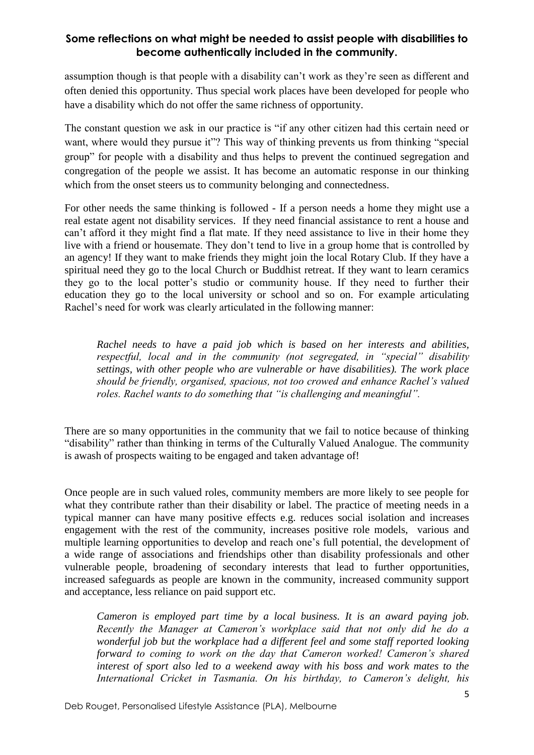assumption though is that people with a disability can't work as they're seen as different and often denied this opportunity. Thus special work places have been developed for people who have a disability which do not offer the same richness of opportunity.

The constant question we ask in our practice is "if any other citizen had this certain need or want, where would they pursue it"? This way of thinking prevents us from thinking "special" group" for people with a disability and thus helps to prevent the continued segregation and congregation of the people we assist. It has become an automatic response in our thinking which from the onset steers us to community belonging and connectedness.

For other needs the same thinking is followed - If a person needs a home they might use a real estate agent not disability services. If they need financial assistance to rent a house and can't afford it they might find a flat mate. If they need assistance to live in their home they live with a friend or housemate. They don't tend to live in a group home that is controlled by an agency! If they want to make friends they might join the local Rotary Club. If they have a spiritual need they go to the local Church or Buddhist retreat. If they want to learn ceramics they go to the local potter's studio or community house. If they need to further their education they go to the local university or school and so on. For example articulating Rachel's need for work was clearly articulated in the following manner:

*Rachel needs to have a paid job which is based on her interests and abilities, respectful, local and in the community (not segregated, in "special" disability settings, with other people who are vulnerable or have disabilities). The work place should be friendly, organised, spacious, not too crowed and enhance Rachel's valued roles. Rachel wants to do something that "is challenging and meaningful".*

There are so many opportunities in the community that we fail to notice because of thinking "disability" rather than thinking in terms of the Culturally Valued Analogue. The community is awash of prospects waiting to be engaged and taken advantage of!

Once people are in such valued roles, community members are more likely to see people for what they contribute rather than their disability or label. The practice of meeting needs in a typical manner can have many positive effects e.g. reduces social isolation and increases engagement with the rest of the community, increases positive role models, various and multiple learning opportunities to develop and reach one's full potential, the development of a wide range of associations and friendships other than disability professionals and other vulnerable people, broadening of secondary interests that lead to further opportunities, increased safeguards as people are known in the community, increased community support and acceptance, less reliance on paid support etc.

*Cameron is employed part time by a local business. It is an award paying job. Recently the Manager at Cameron's workplace said that not only did he do a wonderful job but the workplace had a different feel and some staff reported looking forward to coming to work on the day that Cameron worked! Cameron's shared interest of sport also led to a weekend away with his boss and work mates to the International Cricket in Tasmania. On his birthday, to Cameron's delight, his*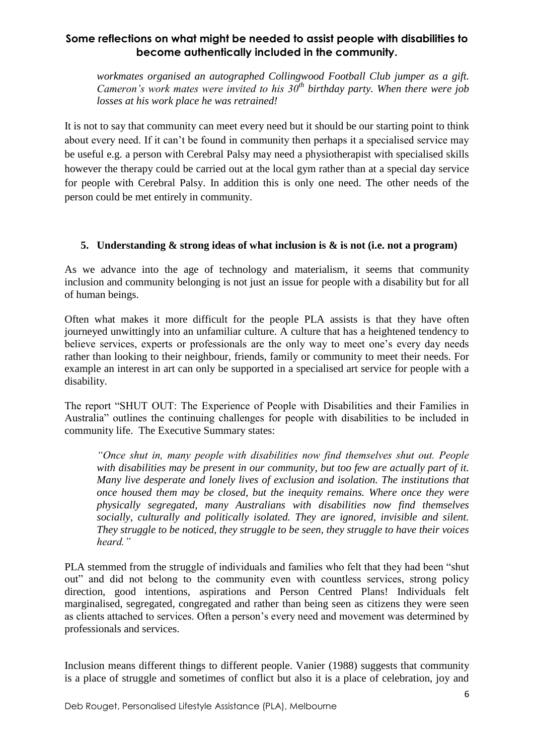*workmates organised an autographed Collingwood Football Club jumper as a gift. Cameron's work mates were invited to his 30th birthday party. When there were job losses at his work place he was retrained!* 

It is not to say that community can meet every need but it should be our starting point to think about every need. If it can't be found in community then perhaps it a specialised service may be useful e.g. a person with Cerebral Palsy may need a physiotherapist with specialised skills however the therapy could be carried out at the local gym rather than at a special day service for people with Cerebral Palsy. In addition this is only one need. The other needs of the person could be met entirely in community.

### **5. Understanding & strong ideas of what inclusion is & is not (i.e. not a program)**

As we advance into the age of technology and materialism, it seems that community inclusion and community belonging is not just an issue for people with a disability but for all of human beings.

Often what makes it more difficult for the people PLA assists is that they have often journeyed unwittingly into an unfamiliar culture. A culture that has a heightened tendency to believe services, experts or professionals are the only way to meet one's every day needs rather than looking to their neighbour, friends, family or community to meet their needs. For example an interest in art can only be supported in a specialised art service for people with a disability.

The report "SHUT OUT: The Experience of People with Disabilities and their Families in Australia" outlines the continuing challenges for people with disabilities to be included in community life. The Executive Summary states:

*"Once shut in, many people with disabilities now find themselves shut out. People with disabilities may be present in our community, but too few are actually part of it. Many live desperate and lonely lives of exclusion and isolation. The institutions that once housed them may be closed, but the inequity remains. Where once they were physically segregated, many Australians with disabilities now find themselves socially, culturally and politically isolated. They are ignored, invisible and silent. They struggle to be noticed, they struggle to be seen, they struggle to have their voices heard."* 

PLA stemmed from the struggle of individuals and families who felt that they had been "shut out" and did not belong to the community even with countless services, strong policy direction, good intentions, aspirations and Person Centred Plans! Individuals felt marginalised, segregated, congregated and rather than being seen as citizens they were seen as clients attached to services. Often a person's every need and movement was determined by professionals and services.

Inclusion means different things to different people. Vanier (1988) suggests that community is a place of struggle and sometimes of conflict but also it is a place of celebration, joy and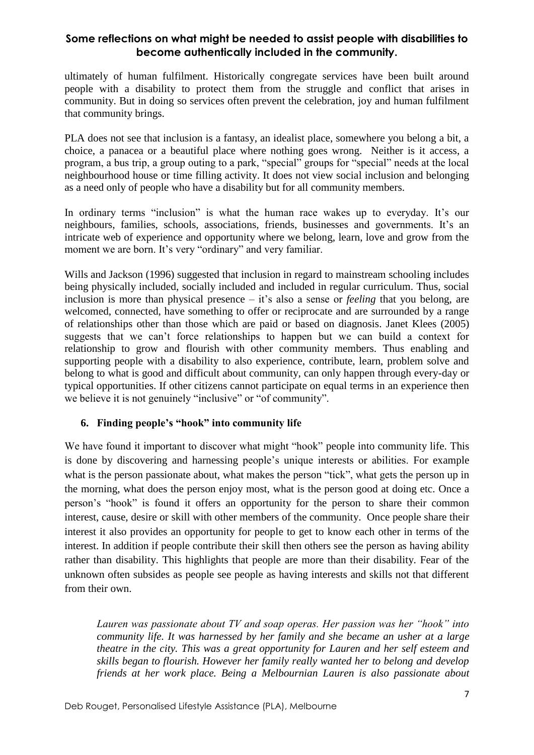ultimately of human fulfilment. Historically congregate services have been built around people with a disability to protect them from the struggle and conflict that arises in community. But in doing so services often prevent the celebration, joy and human fulfilment that community brings.

PLA does not see that inclusion is a fantasy, an idealist place, somewhere you belong a bit, a choice, a panacea or a beautiful place where nothing goes wrong. Neither is it access, a program, a bus trip, a group outing to a park, "special" groups for "special" needs at the local neighbourhood house or time filling activity. It does not view social inclusion and belonging as a need only of people who have a disability but for all community members.

In ordinary terms "inclusion" is what the human race wakes up to everyday. It's our neighbours, families, schools, associations, friends, businesses and governments. It's an intricate web of experience and opportunity where we belong, learn, love and grow from the moment we are born. It's very "ordinary" and very familiar.

Wills and Jackson (1996) suggested that inclusion in regard to mainstream schooling includes being physically included, socially included and included in regular curriculum. Thus, social inclusion is more than physical presence – it's also a sense or *feeling* that you belong, are welcomed, connected, have something to offer or reciprocate and are surrounded by a range of relationships other than those which are paid or based on diagnosis. Janet Klees (2005) suggests that we can't force relationships to happen but we can build a context for relationship to grow and flourish with other community members. Thus enabling and supporting people with a disability to also experience, contribute, learn, problem solve and belong to what is good and difficult about community, can only happen through every-day or typical opportunities. If other citizens cannot participate on equal terms in an experience then we believe it is not genuinely "inclusive" or "of community".

### **6. Finding people's "hook" into community life**

We have found it important to discover what might "hook" people into community life. This is done by discovering and harnessing people's unique interests or abilities. For example what is the person passionate about, what makes the person "tick", what gets the person up in the morning, what does the person enjoy most, what is the person good at doing etc. Once a person's "hook" is found it offers an opportunity for the person to share their common interest, cause, desire or skill with other members of the community. Once people share their interest it also provides an opportunity for people to get to know each other in terms of the interest. In addition if people contribute their skill then others see the person as having ability rather than disability. This highlights that people are more than their disability. Fear of the unknown often subsides as people see people as having interests and skills not that different from their own.

*Lauren was passionate about TV and soap operas. Her passion was her "hook" into community life. It was harnessed by her family and she became an usher at a large theatre in the city. This was a great opportunity for Lauren and her self esteem and skills began to flourish. However her family really wanted her to belong and develop friends at her work place. Being a Melbournian Lauren is also passionate about*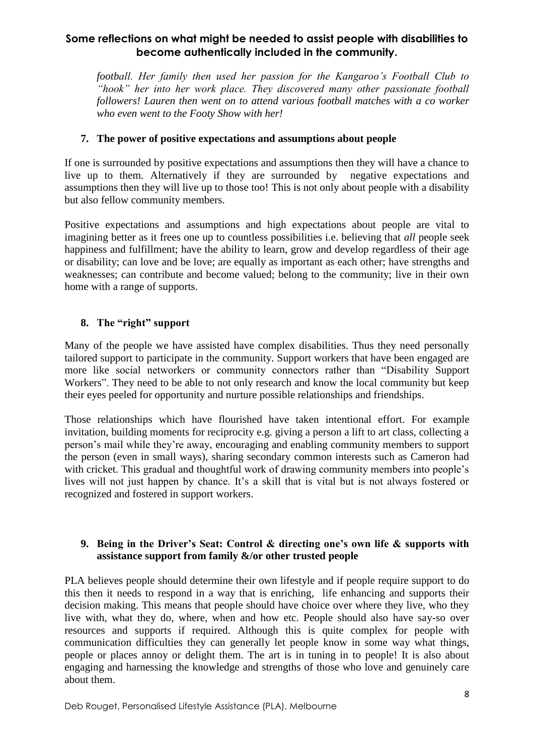*football. Her family then used her passion for the Kangaroo's Football Club to "hook" her into her work place. They discovered many other passionate football followers! Lauren then went on to attend various football matches with a co worker who even went to the Footy Show with her!*

### **7. The power of positive expectations and assumptions about people**

If one is surrounded by positive expectations and assumptions then they will have a chance to live up to them. Alternatively if they are surrounded by negative expectations and assumptions then they will live up to those too! This is not only about people with a disability but also fellow community members.

Positive expectations and assumptions and high expectations about people are vital to imagining better as it frees one up to countless possibilities i.e. believing that *all* people seek happiness and fulfillment; have the ability to learn, grow and develop regardless of their age or disability; can love and be love; are equally as important as each other; have strengths and weaknesses; can contribute and become valued; belong to the community; live in their own home with a range of supports.

## **8. The "right" support**

Many of the people we have assisted have complex disabilities. Thus they need personally tailored support to participate in the community. Support workers that have been engaged are more like social networkers or community connectors rather than "Disability Support Workers". They need to be able to not only research and know the local community but keep their eyes peeled for opportunity and nurture possible relationships and friendships.

Those relationships which have flourished have taken intentional effort. For example invitation, building moments for reciprocity e.g. giving a person a lift to art class, collecting a person's mail while they're away, encouraging and enabling community members to support the person (even in small ways), sharing secondary common interests such as Cameron had with cricket. This gradual and thoughtful work of drawing community members into people's lives will not just happen by chance. It's a skill that is vital but is not always fostered or recognized and fostered in support workers.

### **9. Being in the Driver's Seat: Control & directing one's own life & supports with assistance support from family &/or other trusted people**

PLA believes people should determine their own lifestyle and if people require support to do this then it needs to respond in a way that is enriching, life enhancing and supports their decision making. This means that people should have choice over where they live, who they live with, what they do, where, when and how etc. People should also have say-so over resources and supports if required. Although this is quite complex for people with communication difficulties they can generally let people know in some way what things, people or places annoy or delight them. The art is in tuning in to people! It is also about engaging and harnessing the knowledge and strengths of those who love and genuinely care about them.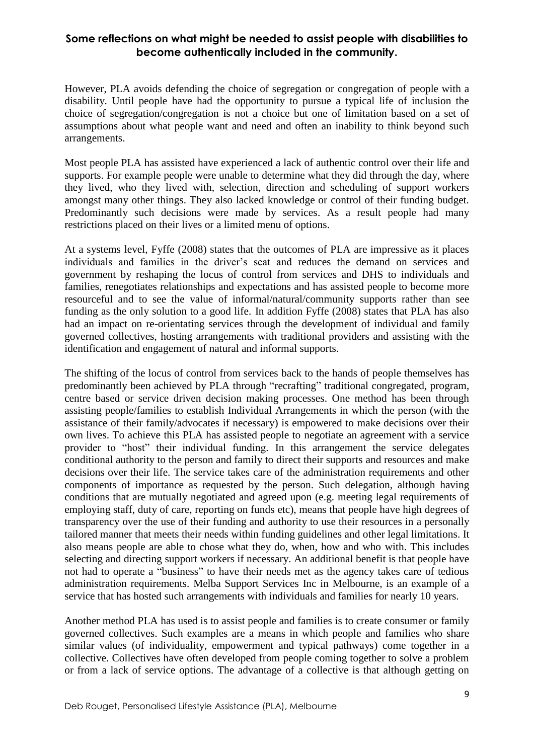However, PLA avoids defending the choice of segregation or congregation of people with a disability. Until people have had the opportunity to pursue a typical life of inclusion the choice of segregation/congregation is not a choice but one of limitation based on a set of assumptions about what people want and need and often an inability to think beyond such arrangements.

Most people PLA has assisted have experienced a lack of authentic control over their life and supports. For example people were unable to determine what they did through the day, where they lived, who they lived with, selection, direction and scheduling of support workers amongst many other things. They also lacked knowledge or control of their funding budget. Predominantly such decisions were made by services. As a result people had many restrictions placed on their lives or a limited menu of options.

At a systems level, Fyffe (2008) states that the outcomes of PLA are impressive as it places individuals and families in the driver's seat and reduces the demand on services and government by reshaping the locus of control from services and DHS to individuals and families, renegotiates relationships and expectations and has assisted people to become more resourceful and to see the value of informal/natural/community supports rather than see funding as the only solution to a good life. In addition Fyffe (2008) states that PLA has also had an impact on re-orientating services through the development of individual and family governed collectives, hosting arrangements with traditional providers and assisting with the identification and engagement of natural and informal supports.

The shifting of the locus of control from services back to the hands of people themselves has predominantly been achieved by PLA through "recrafting" traditional congregated, program, centre based or service driven decision making processes. One method has been through assisting people/families to establish Individual Arrangements in which the person (with the assistance of their family/advocates if necessary) is empowered to make decisions over their own lives. To achieve this PLA has assisted people to negotiate an agreement with a service provider to "host" their individual funding. In this arrangement the service delegates conditional authority to the person and family to direct their supports and resources and make decisions over their life. The service takes care of the administration requirements and other components of importance as requested by the person. Such delegation, although having conditions that are mutually negotiated and agreed upon (e.g. meeting legal requirements of employing staff, duty of care, reporting on funds etc), means that people have high degrees of transparency over the use of their funding and authority to use their resources in a personally tailored manner that meets their needs within funding guidelines and other legal limitations. It also means people are able to chose what they do, when, how and who with. This includes selecting and directing support workers if necessary. An additional benefit is that people have not had to operate a "business" to have their needs met as the agency takes care of tedious administration requirements. Melba Support Services Inc in Melbourne, is an example of a service that has hosted such arrangements with individuals and families for nearly 10 years.

Another method PLA has used is to assist people and families is to create consumer or family governed collectives. Such examples are a means in which people and families who share similar values (of individuality, empowerment and typical pathways) come together in a collective. Collectives have often developed from people coming together to solve a problem or from a lack of service options. The advantage of a collective is that although getting on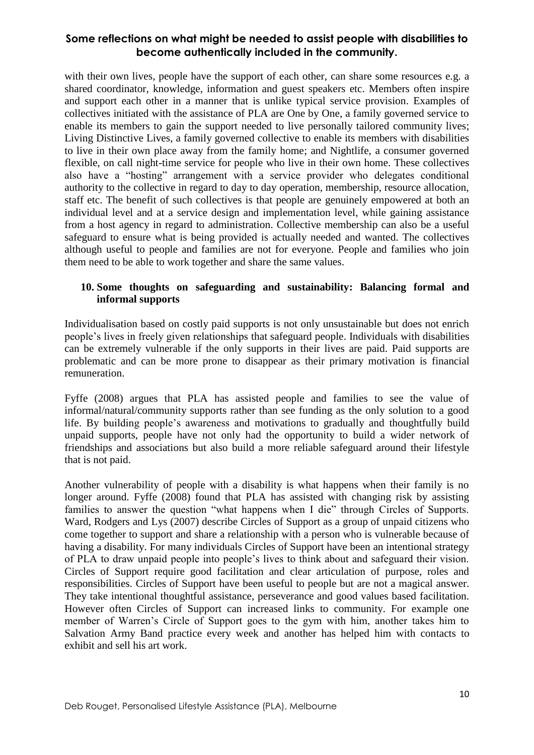with their own lives, people have the support of each other, can share some resources e.g. a shared coordinator, knowledge, information and guest speakers etc. Members often inspire and support each other in a manner that is unlike typical service provision. Examples of collectives initiated with the assistance of PLA are One by One, a family governed service to enable its members to gain the support needed to live personally tailored community lives; Living Distinctive Lives, a family governed collective to enable its members with disabilities to live in their own place away from the family home; and Nightlife, a consumer governed flexible, on call night-time service for people who live in their own home. These collectives also have a "hosting" arrangement with a service provider who delegates conditional authority to the collective in regard to day to day operation, membership, resource allocation, staff etc. The benefit of such collectives is that people are genuinely empowered at both an individual level and at a service design and implementation level, while gaining assistance from a host agency in regard to administration. Collective membership can also be a useful safeguard to ensure what is being provided is actually needed and wanted. The collectives although useful to people and families are not for everyone. People and families who join them need to be able to work together and share the same values.

### **10. Some thoughts on safeguarding and sustainability: Balancing formal and informal supports**

Individualisation based on costly paid supports is not only unsustainable but does not enrich people's lives in freely given relationships that safeguard people. Individuals with disabilities can be extremely vulnerable if the only supports in their lives are paid. Paid supports are problematic and can be more prone to disappear as their primary motivation is financial remuneration.

Fyffe (2008) argues that PLA has assisted people and families to see the value of informal/natural/community supports rather than see funding as the only solution to a good life. By building people's awareness and motivations to gradually and thoughtfully build unpaid supports, people have not only had the opportunity to build a wider network of friendships and associations but also build a more reliable safeguard around their lifestyle that is not paid.

Another vulnerability of people with a disability is what happens when their family is no longer around. Fyffe (2008) found that PLA has assisted with changing risk by assisting families to answer the question "what happens when I die" through Circles of Supports. Ward, Rodgers and Lys (2007) describe Circles of Support as a group of unpaid citizens who come together to support and share a relationship with a person who is vulnerable because of having a disability. For many individuals Circles of Support have been an intentional strategy of PLA to draw unpaid people into people's lives to think about and safeguard their vision. Circles of Support require good facilitation and clear articulation of purpose, roles and responsibilities. Circles of Support have been useful to people but are not a magical answer. They take intentional thoughtful assistance, perseverance and good values based facilitation. However often Circles of Support can increased links to community. For example one member of Warren's Circle of Support goes to the gym with him, another takes him to Salvation Army Band practice every week and another has helped him with contacts to exhibit and sell his art work.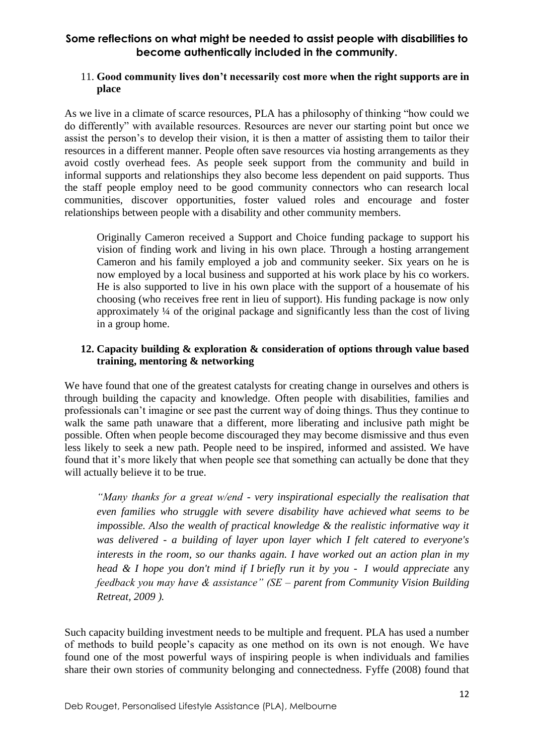### 11. **Good community lives don't necessarily cost more when the right supports are in place**

As we live in a climate of scarce resources, PLA has a philosophy of thinking "how could we do differently" with available resources. Resources are never our starting point but once we assist the person's to develop their vision, it is then a matter of assisting them to tailor their resources in a different manner. People often save resources via hosting arrangements as they avoid costly overhead fees. As people seek support from the community and build in informal supports and relationships they also become less dependent on paid supports. Thus the staff people employ need to be good community connectors who can research local communities, discover opportunities, foster valued roles and encourage and foster relationships between people with a disability and other community members.

Originally Cameron received a Support and Choice funding package to support his vision of finding work and living in his own place. Through a hosting arrangement Cameron and his family employed a job and community seeker. Six years on he is now employed by a local business and supported at his work place by his co workers. He is also supported to live in his own place with the support of a housemate of his choosing (who receives free rent in lieu of support). His funding package is now only approximately ¼ of the original package and significantly less than the cost of living in a group home.

### **12. Capacity building & exploration & consideration of options through value based training, mentoring & networking**

We have found that one of the greatest catalysts for creating change in ourselves and others is through building the capacity and knowledge. Often people with disabilities, families and professionals can't imagine or see past the current way of doing things. Thus they continue to walk the same path unaware that a different, more liberating and inclusive path might be possible. Often when people become discouraged they may become dismissive and thus even less likely to seek a new path. People need to be inspired, informed and assisted. We have found that it's more likely that when people see that something can actually be done that they will actually believe it to be true.

*"Many thanks for a great w/end - very inspirational especially the realisation that even families who struggle with severe disability have achieved what seems to be impossible. Also the wealth of practical knowledge & the realistic informative way it was delivered - a building of layer upon layer which I felt catered to everyone's interests in the room, so our thanks again. I have worked out an action plan in my head & I hope you don't mind if I briefly run it by you - I would appreciate* any *feedback you may have & assistance" (SE – parent from Community Vision Building Retreat, 2009 ).* 

Such capacity building investment needs to be multiple and frequent. PLA has used a number of methods to build people's capacity as one method on its own is not enough. We have found one of the most powerful ways of inspiring people is when individuals and families share their own stories of community belonging and connectedness. Fyffe (2008) found that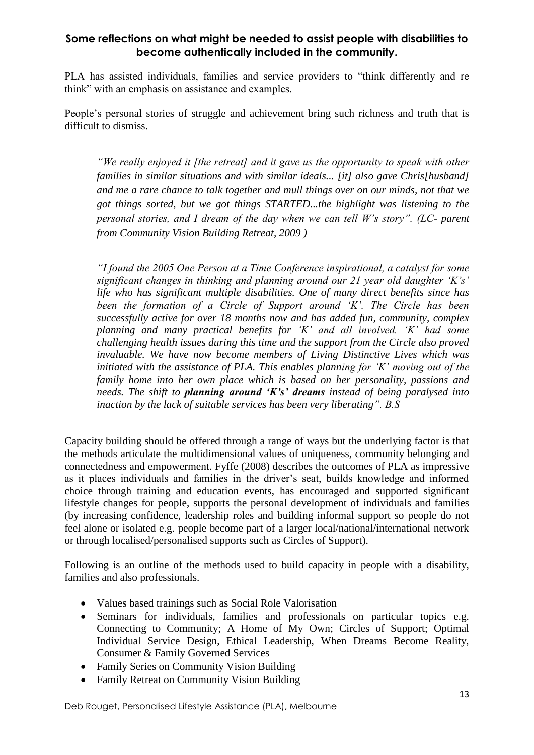PLA has assisted individuals, families and service providers to "think differently and re think" with an emphasis on assistance and examples.

People's personal stories of struggle and achievement bring such richness and truth that is difficult to dismiss.

*"We really enjoyed it [the retreat] and it gave us the opportunity to speak with other families in similar situations and with similar ideals... [it] also gave Chris[husband] and me a rare chance to talk together and mull things over on our minds, not that we got things sorted, but we got things STARTED...the highlight was listening to the personal stories, and I dream of the day when we can tell W's story". (LC- parent from Community Vision Building Retreat, 2009 )*

*"I found the 2005 One Person at a Time Conference inspirational, a catalyst for some significant changes in thinking and planning around our 21 year old daughter 'K's' life who has significant multiple disabilities. One of many direct benefits since has been the formation of a Circle of Support around 'K'. The Circle has been successfully active for over 18 months now and has added fun, community, complex planning and many practical benefits for 'K' and all involved. 'K' had some challenging health issues during this time and the support from the Circle also proved invaluable. We have now become members of Living Distinctive Lives which was initiated with the assistance of PLA. This enables planning for 'K' moving out of the family home into her own place which is based on her personality, passions and needs. The shift to planning around 'K's' dreams instead of being paralysed into inaction by the lack of suitable services has been very liberating". B.S*

Capacity building should be offered through a range of ways but the underlying factor is that the methods articulate the multidimensional values of uniqueness, community belonging and connectedness and empowerment. Fyffe (2008) describes the outcomes of PLA as impressive as it places individuals and families in the driver's seat, builds knowledge and informed choice through training and education events, has encouraged and supported significant lifestyle changes for people, supports the personal development of individuals and families (by increasing confidence, leadership roles and building informal support so people do not feel alone or isolated e.g. people become part of a larger local/national/international network or through localised/personalised supports such as Circles of Support).

Following is an outline of the methods used to build capacity in people with a disability, families and also professionals.

- Values based trainings such as Social Role Valorisation
- Seminars for individuals, families and professionals on particular topics e.g. Connecting to Community; A Home of My Own; Circles of Support; Optimal Individual Service Design, Ethical Leadership, When Dreams Become Reality, Consumer & Family Governed Services
- Family Series on Community Vision Building
- Family Retreat on Community Vision Building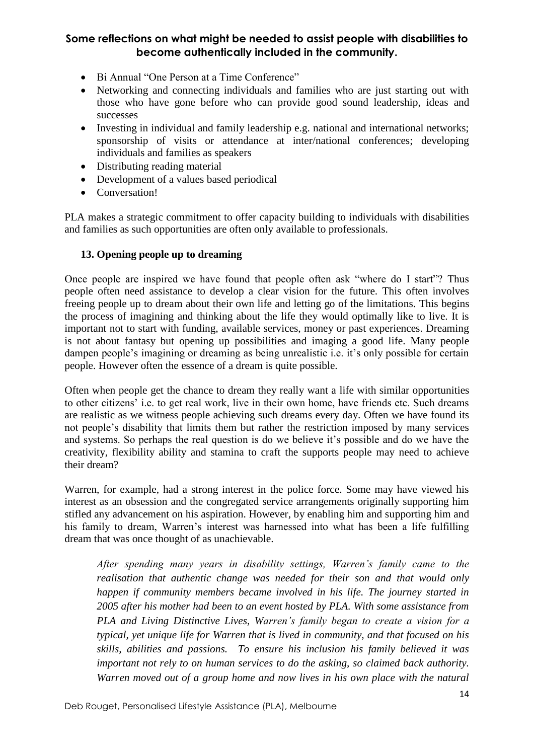- Bi Annual "One Person at a Time Conference"
- Networking and connecting individuals and families who are just starting out with those who have gone before who can provide good sound leadership, ideas and successes
- Investing in individual and family leadership e.g. national and international networks; sponsorship of visits or attendance at inter/national conferences; developing individuals and families as speakers
- Distributing reading material
- Development of a values based periodical
- Conversation!

PLA makes a strategic commitment to offer capacity building to individuals with disabilities and families as such opportunities are often only available to professionals.

## **13. Opening people up to dreaming**

Once people are inspired we have found that people often ask "where do I start"? Thus people often need assistance to develop a clear vision for the future. This often involves freeing people up to dream about their own life and letting go of the limitations. This begins the process of imagining and thinking about the life they would optimally like to live. It is important not to start with funding, available services, money or past experiences. Dreaming is not about fantasy but opening up possibilities and imaging a good life. Many people dampen people's imagining or dreaming as being unrealistic i.e. it's only possible for certain people. However often the essence of a dream is quite possible.

Often when people get the chance to dream they really want a life with similar opportunities to other citizens' i.e. to get real work, live in their own home, have friends etc. Such dreams are realistic as we witness people achieving such dreams every day. Often we have found its not people's disability that limits them but rather the restriction imposed by many services and systems. So perhaps the real question is do we believe it's possible and do we have the creativity, flexibility ability and stamina to craft the supports people may need to achieve their dream?

Warren, for example, had a strong interest in the police force. Some may have viewed his interest as an obsession and the congregated service arrangements originally supporting him stifled any advancement on his aspiration. However, by enabling him and supporting him and his family to dream, Warren's interest was harnessed into what has been a life fulfilling dream that was once thought of as unachievable.

*After spending many years in disability settings, Warren's family came to the realisation that authentic change was needed for their son and that would only happen if community members became involved in his life. The journey started in 2005 after his mother had been to an event hosted by PLA. With some assistance from PLA and Living Distinctive Lives, Warren's family began to create a vision for a typical, yet unique life for Warren that is lived in community, and that focused on his skills, abilities and passions. To ensure his inclusion his family believed it was important not rely to on human services to do the asking, so claimed back authority. Warren moved out of a group home and now lives in his own place with the natural*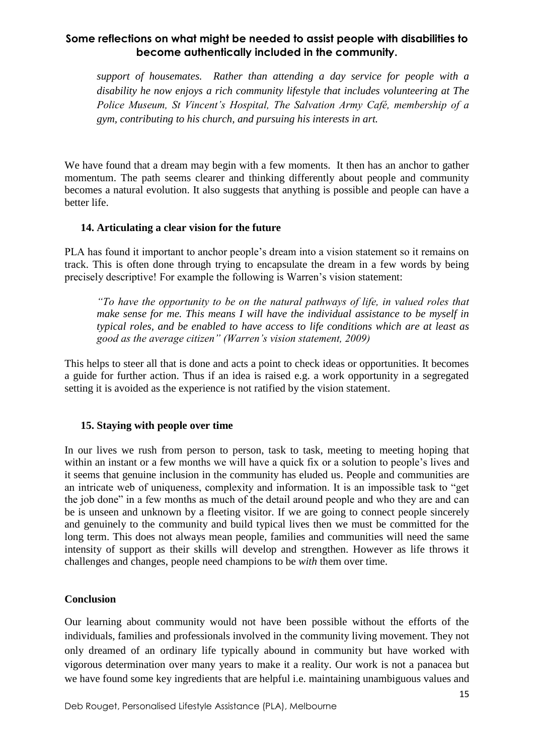*support of housemates. Rather than attending a day service for people with a disability he now enjoys a rich community lifestyle that includes volunteering at The Police Museum, St Vincent's Hospital, The Salvation Army Café, membership of a gym, contributing to his church, and pursuing his interests in art.* 

We have found that a dream may begin with a few moments. It then has an anchor to gather momentum. The path seems clearer and thinking differently about people and community becomes a natural evolution. It also suggests that anything is possible and people can have a better life.

### **14. Articulating a clear vision for the future**

PLA has found it important to anchor people's dream into a vision statement so it remains on track. This is often done through trying to encapsulate the dream in a few words by being precisely descriptive! For example the following is Warren's vision statement:

*"To have the opportunity to be on the natural pathways of life, in valued roles that make sense for me. This means I will have the individual assistance to be myself in typical roles, and be enabled to have access to life conditions which are at least as good as the average citizen" (Warren's vision statement, 2009)*

This helps to steer all that is done and acts a point to check ideas or opportunities. It becomes a guide for further action. Thus if an idea is raised e.g. a work opportunity in a segregated setting it is avoided as the experience is not ratified by the vision statement.

### **15. Staying with people over time**

In our lives we rush from person to person, task to task, meeting to meeting hoping that within an instant or a few months we will have a quick fix or a solution to people's lives and it seems that genuine inclusion in the community has eluded us. People and communities are an intricate web of uniqueness, complexity and information. It is an impossible task to "get the job done" in a few months as much of the detail around people and who they are and can be is unseen and unknown by a fleeting visitor. If we are going to connect people sincerely and genuinely to the community and build typical lives then we must be committed for the long term. This does not always mean people, families and communities will need the same intensity of support as their skills will develop and strengthen. However as life throws it challenges and changes, people need champions to be *with* them over time.

### **Conclusion**

Our learning about community would not have been possible without the efforts of the individuals, families and professionals involved in the community living movement. They not only dreamed of an ordinary life typically abound in community but have worked with vigorous determination over many years to make it a reality. Our work is not a panacea but we have found some key ingredients that are helpful i.e. maintaining unambiguous values and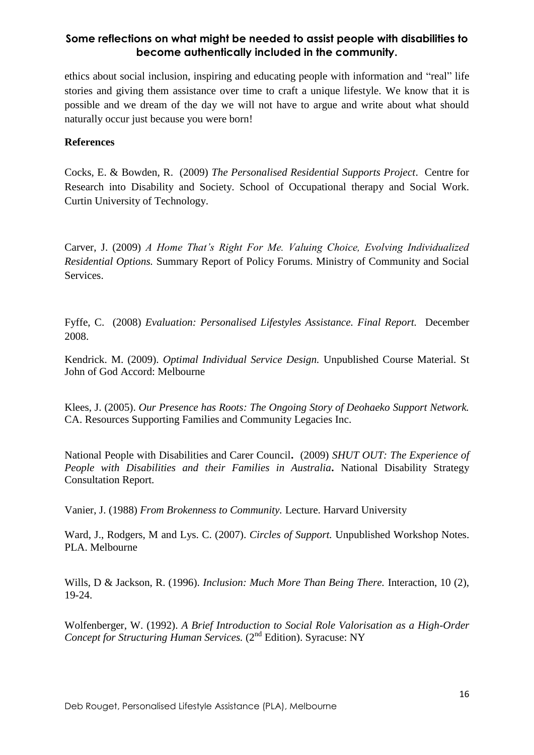ethics about social inclusion, inspiring and educating people with information and "real" life stories and giving them assistance over time to craft a unique lifestyle. We know that it is possible and we dream of the day we will not have to argue and write about what should naturally occur just because you were born!

#### **References**

Cocks, E. & Bowden, R. (2009) *The Personalised Residential Supports Project*. Centre for Research into Disability and Society. School of Occupational therapy and Social Work. Curtin University of Technology.

Carver, J. (2009) *A Home That's Right For Me. Valuing Choice, Evolving Individualized Residential Options.* Summary Report of Policy Forums. Ministry of Community and Social Services.

Fyffe, C. (2008) *Evaluation: Personalised Lifestyles Assistance. Final Report.* December 2008.

Kendrick. M. (2009). *Optimal Individual Service Design.* Unpublished Course Material. St John of God Accord: Melbourne

Klees, J. (2005). *Our Presence has Roots: The Ongoing Story of Deohaeko Support Network.* CA. Resources Supporting Families and Community Legacies Inc.

National People with Disabilities and Carer Council**.** (2009) *SHUT OUT: The Experience of People with Disabilities and their Families in Australia***.** National Disability Strategy Consultation Report.

Vanier, J. (1988) *From Brokenness to Community.* Lecture. Harvard University

Ward, J., Rodgers, M and Lys. C. (2007). *Circles of Support.* Unpublished Workshop Notes. PLA. Melbourne

Wills, D & Jackson, R. (1996). *Inclusion: Much More Than Being There.* Interaction, 10 (2), 19-24.

Wolfenberger, W. (1992). *A Brief Introduction to Social Role Valorisation as a High-Order Concept for Structuring Human Services.* (2<sup>nd</sup> Edition). Syracuse: NY